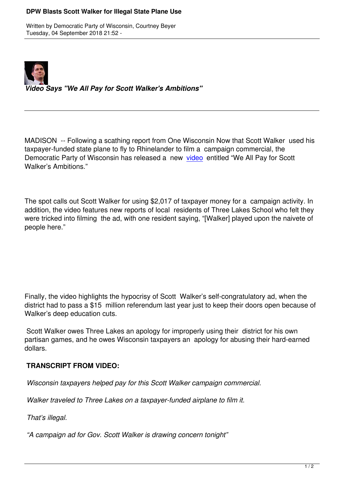

## *Video Says "We All Pay for Scott Walker's Ambitions"*

MADISON -- Following a scathing report from One Wisconsin Now that Scott Walker used his taxpayer-funded state plane to fly to Rhinelander to film a campaign commercial, the Democratic Party of Wisconsin has released a new video entitled "We All Pay for Scott Walker's Ambitions."

The spot calls out Scott Walker for using \$2,017 of taxpayer money for a campaign activity. In addition, the video features new reports of local residents of Three Lakes School who felt they were tricked into filming the ad, with one resident saying, "[Walker] played upon the naivete of people here."

Finally, the video highlights the hypocrisy of Scott Walker's self-congratulatory ad, when the district had to pass a \$15 million referendum last year just to keep their doors open because of Walker's deep education cuts.

 Scott Walker owes Three Lakes an apology for improperly using their district for his own partisan games, and he owes Wisconsin taxpayers an apology for abusing their hard-earned dollars.

## **TRANSCRIPT FROM VIDEO:**

*Wisconsin taxpayers helped pay for this Scott Walker campaign commercial.*

*Walker traveled to Three Lakes on a taxpayer-funded airplane to film it.*

*That's illegal.*

*"A campaign ad for Gov. Scott Walker is drawing concern tonight"*